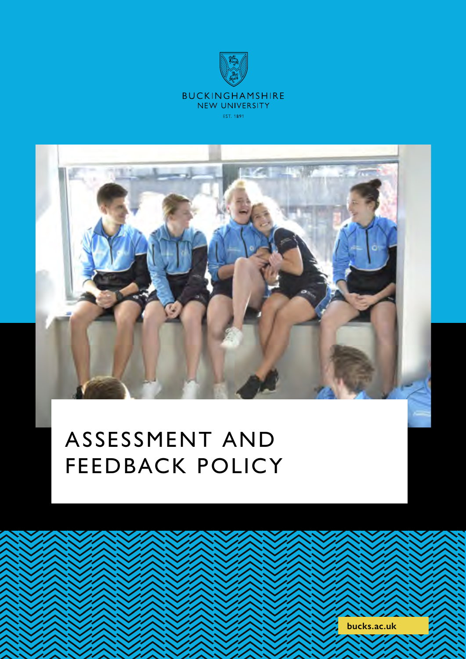



# ASSESSMENT AND FEEDBACK POLICY

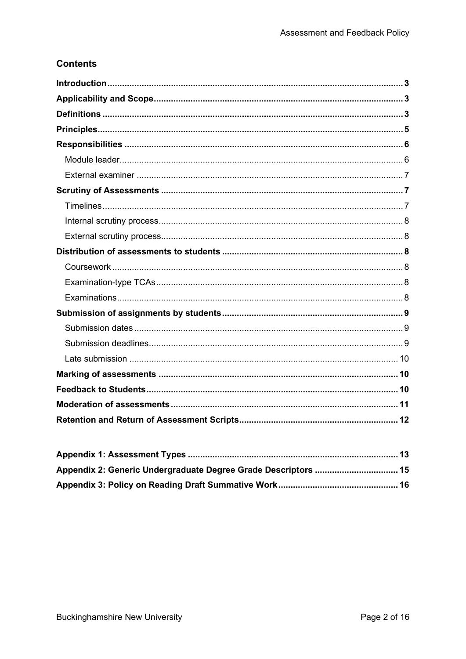### **Contents**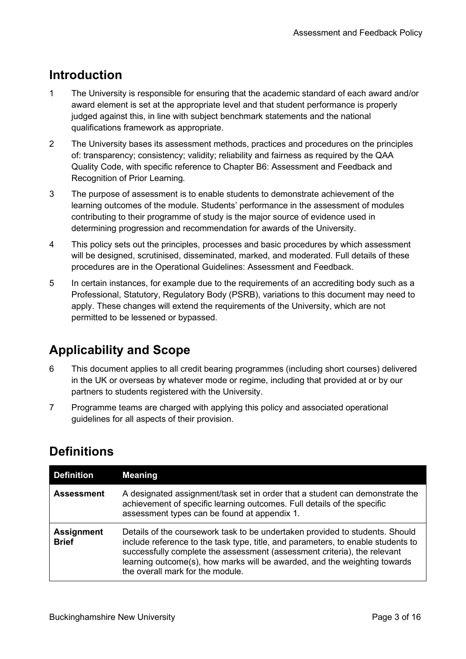# <span id="page-2-0"></span>**Introduction**

- 1 The University is responsible for ensuring that the academic standard of each award and/or award element is set at the appropriate level and that student performance is properly judged against this, in line with subject benchmark statements and the national qualifications framework as appropriate.
- 2 The University bases its assessment methods, practices and procedures on the principles of: transparency; consistency; validity; reliability and fairness as required by the QAA Quality Code, with specific reference to Chapter B6: Assessment and Feedback and Recognition of Prior Learning*.*
- 3 The purpose of assessment is to enable students to demonstrate achievement of the learning outcomes of the module. Students' performance in the assessment of modules contributing to their programme of study is the major source of evidence used in determining progression and recommendation for awards of the University.
- 4 This policy sets out the principles, processes and basic procedures by which assessment will be designed, scrutinised, disseminated, marked, and moderated. Full details of these procedures are in the Operational Guidelines: Assessment and Feedback.
- 5 In certain instances, for example due to the requirements of an accrediting body such as a Professional, Statutory, Regulatory Body (PSRB), variations to this document may need to apply. These changes will extend the requirements of the University, which are not permitted to be lessened or bypassed.

# <span id="page-2-1"></span>**Applicability and Scope**

- 6 This document applies to all credit bearing programmes (including short courses) delivered in the UK or overseas by whatever mode or regime, including that provided at or by our partners to students registered with the University.
- 7 Programme teams are charged with applying this policy and associated operational guidelines for all aspects of their provision.

# <span id="page-2-2"></span>**Definitions**

| <b>Definition</b>                 | <b>Meaning</b>                                                                                                                                                                                                                                                                                                                                                |
|-----------------------------------|---------------------------------------------------------------------------------------------------------------------------------------------------------------------------------------------------------------------------------------------------------------------------------------------------------------------------------------------------------------|
| <b>Assessment</b>                 | A designated assignment/task set in order that a student can demonstrate the<br>achievement of specific learning outcomes. Full details of the specific<br>assessment types can be found at appendix 1.                                                                                                                                                       |
| <b>Assignment</b><br><b>Brief</b> | Details of the coursework task to be undertaken provided to students. Should<br>include reference to the task type, title, and parameters, to enable students to<br>successfully complete the assessment (assessment criteria), the relevant<br>learning outcome(s), how marks will be awarded, and the weighting towards<br>the overall mark for the module. |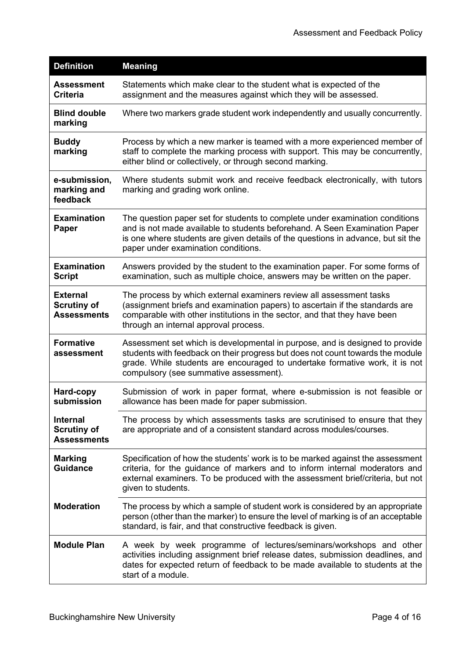| <b>Definition</b>                                           | <b>Meaning</b>                                                                                                                                                                                                                                                                          |
|-------------------------------------------------------------|-----------------------------------------------------------------------------------------------------------------------------------------------------------------------------------------------------------------------------------------------------------------------------------------|
| <b>Assessment</b><br><b>Criteria</b>                        | Statements which make clear to the student what is expected of the<br>assignment and the measures against which they will be assessed.                                                                                                                                                  |
| <b>Blind double</b><br>marking                              | Where two markers grade student work independently and usually concurrently.                                                                                                                                                                                                            |
| <b>Buddy</b><br>marking                                     | Process by which a new marker is teamed with a more experienced member of<br>staff to complete the marking process with support. This may be concurrently,<br>either blind or collectively, or through second marking.                                                                  |
| e-submission,<br>marking and<br>feedback                    | Where students submit work and receive feedback electronically, with tutors<br>marking and grading work online.                                                                                                                                                                         |
| <b>Examination</b><br>Paper                                 | The question paper set for students to complete under examination conditions<br>and is not made available to students beforehand. A Seen Examination Paper<br>is one where students are given details of the questions in advance, but sit the<br>paper under examination conditions.   |
| <b>Examination</b><br><b>Script</b>                         | Answers provided by the student to the examination paper. For some forms of<br>examination, such as multiple choice, answers may be written on the paper.                                                                                                                               |
| <b>External</b><br><b>Scrutiny of</b><br><b>Assessments</b> | The process by which external examiners review all assessment tasks<br>(assignment briefs and examination papers) to ascertain if the standards are<br>comparable with other institutions in the sector, and that they have been<br>through an internal approval process.               |
| <b>Formative</b><br>assessment                              | Assessment set which is developmental in purpose, and is designed to provide<br>students with feedback on their progress but does not count towards the module<br>grade. While students are encouraged to undertake formative work, it is not<br>compulsory (see summative assessment). |
| Hard-copy<br>submission                                     | Submission of work in paper format, where e-submission is not feasible or<br>allowance has been made for paper submission.                                                                                                                                                              |
| <b>Internal</b><br><b>Scrutiny of</b><br><b>Assessments</b> | The process by which assessments tasks are scrutinised to ensure that they<br>are appropriate and of a consistent standard across modules/courses.                                                                                                                                      |
| <b>Marking</b><br><b>Guidance</b>                           | Specification of how the students' work is to be marked against the assessment<br>criteria, for the guidance of markers and to inform internal moderators and<br>external examiners. To be produced with the assessment brief/criteria, but not<br>given to students.                   |
| <b>Moderation</b>                                           | The process by which a sample of student work is considered by an appropriate<br>person (other than the marker) to ensure the level of marking is of an acceptable<br>standard, is fair, and that constructive feedback is given.                                                       |
| <b>Module Plan</b>                                          | A week by week programme of lectures/seminars/workshops and other<br>activities including assignment brief release dates, submission deadlines, and<br>dates for expected return of feedback to be made available to students at the<br>start of a module.                              |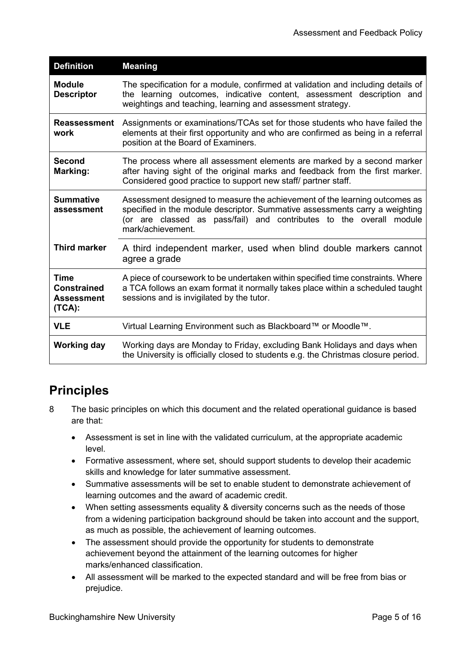| <b>Definition</b>                                         | <b>Meaning</b>                                                                                                                                                                                                                                        |
|-----------------------------------------------------------|-------------------------------------------------------------------------------------------------------------------------------------------------------------------------------------------------------------------------------------------------------|
| <b>Module</b><br><b>Descriptor</b>                        | The specification for a module, confirmed at validation and including details of<br>the learning outcomes, indicative content, assessment description and<br>weightings and teaching, learning and assessment strategy.                               |
| <b>Reassessment</b><br>work                               | Assignments or examinations/TCAs set for those students who have failed the<br>elements at their first opportunity and who are confirmed as being in a referral<br>position at the Board of Examiners.                                                |
| <b>Second</b><br>Marking:                                 | The process where all assessment elements are marked by a second marker<br>after having sight of the original marks and feedback from the first marker.<br>Considered good practice to support new staff/ partner staff.                              |
| <b>Summative</b><br>assessment                            | Assessment designed to measure the achievement of the learning outcomes as<br>specified in the module descriptor. Summative assessments carry a weighting<br>(or are classed as pass/fail) and contributes to the overall module<br>mark/achievement. |
| <b>Third marker</b>                                       | A third independent marker, used when blind double markers cannot<br>agree a grade                                                                                                                                                                    |
| Time<br><b>Constrained</b><br><b>Assessment</b><br>(TCA): | A piece of coursework to be undertaken within specified time constraints. Where<br>a TCA follows an exam format it normally takes place within a scheduled taught<br>sessions and is invigilated by the tutor.                                        |
| <b>VLE</b>                                                | Virtual Learning Environment such as Blackboard™ or Moodle™.                                                                                                                                                                                          |
| <b>Working day</b>                                        | Working days are Monday to Friday, excluding Bank Holidays and days when<br>the University is officially closed to students e.g. the Christmas closure period.                                                                                        |

# <span id="page-4-0"></span>**Principles**

- 8 The basic principles on which this document and the related operational guidance is based are that:
	- Assessment is set in line with the validated curriculum, at the appropriate academic level.
	- Formative assessment, where set, should support students to develop their academic skills and knowledge for later summative assessment.
	- Summative assessments will be set to enable student to demonstrate achievement of learning outcomes and the award of academic credit.
	- When setting assessments equality & diversity concerns such as the needs of those from a widening participation background should be taken into account and the support, as much as possible, the achievement of learning outcomes.
	- The assessment should provide the opportunity for students to demonstrate achievement beyond the attainment of the learning outcomes for higher marks/enhanced classification.
	- All assessment will be marked to the expected standard and will be free from bias or prejudice.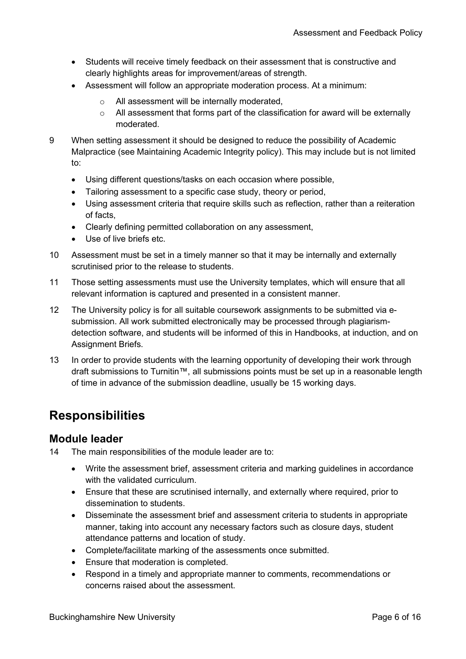- Students will receive timely feedback on their assessment that is constructive and clearly highlights areas for improvement/areas of strength.
- Assessment will follow an appropriate moderation process. At a minimum:
	- o All assessment will be internally moderated,
	- o All assessment that forms part of the classification for award will be externally moderated.
- 9 When setting assessment it should be designed to reduce the possibility of Academic Malpractice (see Maintaining Academic Integrity policy). This may include but is not limited to:
	- Using different questions/tasks on each occasion where possible,
	- Tailoring assessment to a specific case study, theory or period,
	- Using assessment criteria that require skills such as reflection, rather than a reiteration of facts,
	- Clearly defining permitted collaboration on any assessment,
	- Use of live briefs etc.
- 10 Assessment must be set in a timely manner so that it may be internally and externally scrutinised prior to the release to students.
- 11 Those setting assessments must use the University templates, which will ensure that all relevant information is captured and presented in a consistent manner.
- 12 The University policy is for all suitable coursework assignments to be submitted via esubmission. All work submitted electronically may be processed through plagiarismdetection software, and students will be informed of this in Handbooks, at induction, and on Assignment Briefs.
- 13 In order to provide students with the learning opportunity of developing their work through draft submissions to Turnitin™, all submissions points must be set up in a reasonable length of time in advance of the submission deadline, usually be 15 working days.

# <span id="page-5-0"></span>**Responsibilities**

### <span id="page-5-1"></span>**Module leader**

14 The main responsibilities of the module leader are to:

- Write the assessment brief, assessment criteria and marking guidelines in accordance with the validated curriculum.
- Ensure that these are scrutinised internally, and externally where required, prior to dissemination to students.
- Disseminate the assessment brief and assessment criteria to students in appropriate manner, taking into account any necessary factors such as closure days, student attendance patterns and location of study.
- Complete/facilitate marking of the assessments once submitted.
- Ensure that moderation is completed.
- Respond in a timely and appropriate manner to comments, recommendations or concerns raised about the assessment.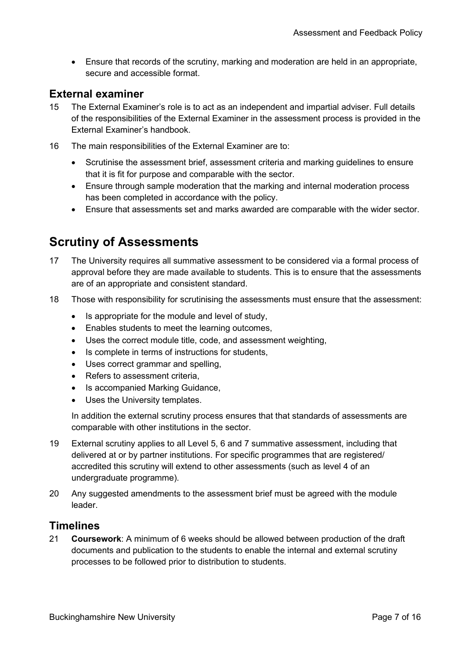• Ensure that records of the scrutiny, marking and moderation are held in an appropriate, secure and accessible format.

### <span id="page-6-0"></span>**External examiner**

- 15 The External Examiner's role is to act as an independent and impartial adviser. Full details of the responsibilities of the External Examiner in the assessment process is provided in the External Examiner's handbook.
- 16 The main responsibilities of the External Examiner are to:
	- Scrutinise the assessment brief, assessment criteria and marking guidelines to ensure that it is fit for purpose and comparable with the sector.
	- Ensure through sample moderation that the marking and internal moderation process has been completed in accordance with the policy.
	- Ensure that assessments set and marks awarded are comparable with the wider sector.

# <span id="page-6-1"></span>**Scrutiny of Assessments**

- 17 The University requires all summative assessment to be considered via a formal process of approval before they are made available to students. This is to ensure that the assessments are of an appropriate and consistent standard.
- 18 Those with responsibility for scrutinising the assessments must ensure that the assessment:
	- Is appropriate for the module and level of study,
	- Enables students to meet the learning outcomes,
	- Uses the correct module title, code, and assessment weighting,
	- Is complete in terms of instructions for students,
	- Uses correct grammar and spelling,
	- Refers to assessment criteria,
	- Is accompanied Marking Guidance,
	- Uses the University templates.

In addition the external scrutiny process ensures that that standards of assessments are comparable with other institutions in the sector.

- 19 External scrutiny applies to all Level 5, 6 and 7 summative assessment, including that delivered at or by partner institutions. For specific programmes that are registered/ accredited this scrutiny will extend to other assessments (such as level 4 of an undergraduate programme).
- 20 Any suggested amendments to the assessment brief must be agreed with the module leader.

### <span id="page-6-2"></span>**Timelines**

21 **Coursework**: A minimum of 6 weeks should be allowed between production of the draft documents and publication to the students to enable the internal and external scrutiny processes to be followed prior to distribution to students.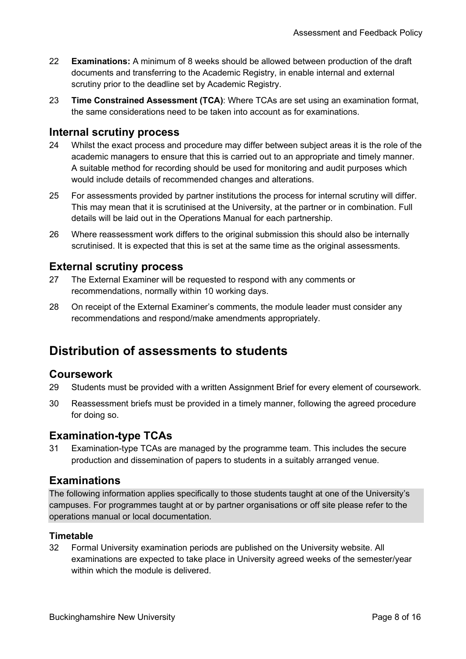- 22 **Examinations:** A minimum of 8 weeks should be allowed between production of the draft documents and transferring to the Academic Registry, in enable internal and external scrutiny prior to the deadline set by Academic Registry.
- 23 **Time Constrained Assessment (TCA)**: Where TCAs are set using an examination format, the same considerations need to be taken into account as for examinations.

### <span id="page-7-0"></span>**Internal scrutiny process**

- 24 Whilst the exact process and procedure may differ between subject areas it is the role of the academic managers to ensure that this is carried out to an appropriate and timely manner. A suitable method for recording should be used for monitoring and audit purposes which would include details of recommended changes and alterations.
- 25 For assessments provided by partner institutions the process for internal scrutiny will differ. This may mean that it is scrutinised at the University, at the partner or in combination. Full details will be laid out in the Operations Manual for each partnership.
- 26 Where reassessment work differs to the original submission this should also be internally scrutinised. It is expected that this is set at the same time as the original assessments.

### <span id="page-7-1"></span>**External scrutiny process**

- 27 The External Examiner will be requested to respond with any comments or recommendations, normally within 10 working days.
- 28 On receipt of the External Examiner's comments, the module leader must consider any recommendations and respond/make amendments appropriately.

# <span id="page-7-2"></span>**Distribution of assessments to students**

### <span id="page-7-3"></span>**Coursework**

- 29 Students must be provided with a written Assignment Brief for every element of coursework.
- 30 Reassessment briefs must be provided in a timely manner, following the agreed procedure for doing so.

### <span id="page-7-4"></span>**Examination-type TCAs**

31 Examination-type TCAs are managed by the programme team. This includes the secure production and dissemination of papers to students in a suitably arranged venue.

### <span id="page-7-5"></span>**Examinations**

The following information applies specifically to those students taught at one of the University's campuses. For programmes taught at or by partner organisations or off site please refer to the operations manual or local documentation.

#### **Timetable**

32 Formal University examination periods are published on the University website. All examinations are expected to take place in University agreed weeks of the semester/year within which the module is delivered.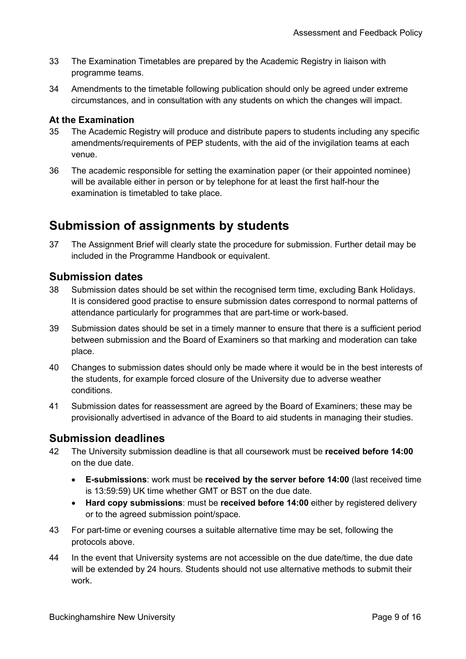- 33 The Examination Timetables are prepared by the Academic Registry in liaison with programme teams.
- 34 Amendments to the timetable following publication should only be agreed under extreme circumstances, and in consultation with any students on which the changes will impact.

### **At the Examination**

- 35 The Academic Registry will produce and distribute papers to students including any specific amendments/requirements of PEP students, with the aid of the invigilation teams at each venue.
- 36 The academic responsible for setting the examination paper (or their appointed nominee) will be available either in person or by telephone for at least the first half-hour the examination is timetabled to take place.

# <span id="page-8-0"></span>**Submission of assignments by students**

37 The Assignment Brief will clearly state the procedure for submission. Further detail may be included in the Programme Handbook or equivalent.

### <span id="page-8-1"></span>**Submission dates**

- 38 Submission dates should be set within the recognised term time, excluding Bank Holidays. It is considered good practise to ensure submission dates correspond to normal patterns of attendance particularly for programmes that are part-time or work-based.
- 39 Submission dates should be set in a timely manner to ensure that there is a sufficient period between submission and the Board of Examiners so that marking and moderation can take place.
- 40 Changes to submission dates should only be made where it would be in the best interests of the students, for example forced closure of the University due to adverse weather conditions.
- 41 Submission dates for reassessment are agreed by the Board of Examiners; these may be provisionally advertised in advance of the Board to aid students in managing their studies.

### <span id="page-8-2"></span>**Submission deadlines**

- 42 The University submission deadline is that all coursework must be **received before 14:00** on the due date.
	- **E-submissions**: work must be **received by the server before 14:00** (last received time is 13:59:59) UK time whether GMT or BST on the due date.
	- **Hard copy submissions**: must be **received before 14:00** either by registered delivery or to the agreed submission point/space.
- 43 For part-time or evening courses a suitable alternative time may be set, following the protocols above.
- 44 In the event that University systems are not accessible on the due date/time, the due date will be extended by 24 hours. Students should not use alternative methods to submit their work.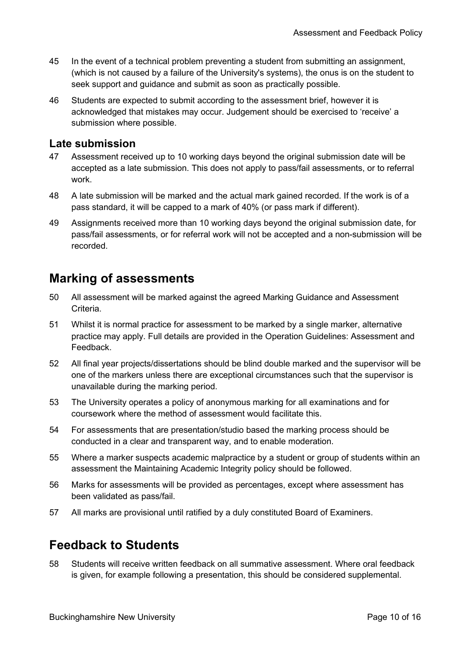- 45 In the event of a technical problem preventing a student from submitting an assignment, (which is not caused by a failure of the University's systems), the onus is on the student to seek support and guidance and submit as soon as practically possible.
- 46 Students are expected to submit according to the assessment brief, however it is acknowledged that mistakes may occur. Judgement should be exercised to 'receive' a submission where possible.

### <span id="page-9-0"></span>**Late submission**

- 47 Assessment received up to 10 working days beyond the original submission date will be accepted as a late submission. This does not apply to pass/fail assessments, or to referral work.
- 48 A late submission will be marked and the actual mark gained recorded. If the work is of a pass standard, it will be capped to a mark of 40% (or pass mark if different).
- 49 Assignments received more than 10 working days beyond the original submission date, for pass/fail assessments, or for referral work will not be accepted and a non-submission will be recorded.

# <span id="page-9-1"></span>**Marking of assessments**

- 50 All assessment will be marked against the agreed Marking Guidance and Assessment Criteria.
- 51 Whilst it is normal practice for assessment to be marked by a single marker, alternative practice may apply. Full details are provided in the Operation Guidelines: Assessment and Feedback.
- 52 All final year projects/dissertations should be blind double marked and the supervisor will be one of the markers unless there are exceptional circumstances such that the supervisor is unavailable during the marking period.
- 53 The University operates a policy of anonymous marking for all examinations and for coursework where the method of assessment would facilitate this.
- 54 For assessments that are presentation/studio based the marking process should be conducted in a clear and transparent way, and to enable moderation.
- 55 Where a marker suspects academic malpractice by a student or group of students within an assessment the Maintaining Academic Integrity policy should be followed.
- 56 Marks for assessments will be provided as percentages, except where assessment has been validated as pass/fail.
- 57 All marks are provisional until ratified by a duly constituted Board of Examiners.

# <span id="page-9-2"></span>**Feedback to Students**

58 Students will receive written feedback on all summative assessment. Where oral feedback is given, for example following a presentation, this should be considered supplemental.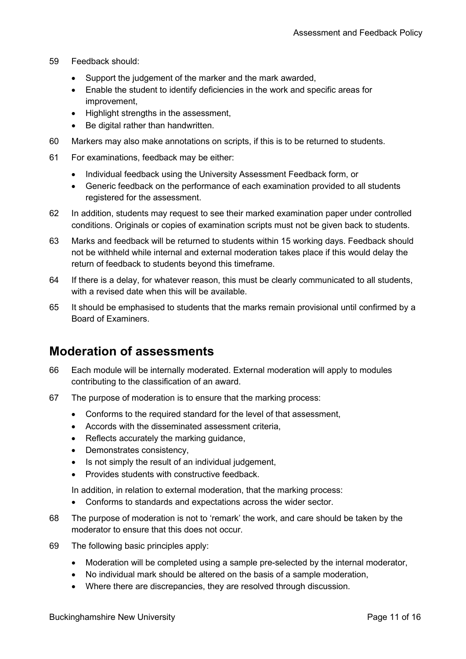- 59 Feedback should:
	- Support the judgement of the marker and the mark awarded,
	- Enable the student to identify deficiencies in the work and specific areas for improvement,
	- Highlight strengths in the assessment,
	- Be digital rather than handwritten.
- 60 Markers may also make annotations on scripts, if this is to be returned to students.
- 61 For examinations, feedback may be either:
	- Individual feedback using the University Assessment Feedback form, or
	- Generic feedback on the performance of each examination provided to all students registered for the assessment.
- 62 In addition, students may request to see their marked examination paper under controlled conditions. Originals or copies of examination scripts must not be given back to students.
- 63 Marks and feedback will be returned to students within 15 working days. Feedback should not be withheld while internal and external moderation takes place if this would delay the return of feedback to students beyond this timeframe.
- 64 If there is a delay, for whatever reason, this must be clearly communicated to all students, with a revised date when this will be available.
- 65 It should be emphasised to students that the marks remain provisional until confirmed by a Board of Examiners.

# <span id="page-10-0"></span>**Moderation of assessments**

- 66 Each module will be internally moderated. External moderation will apply to modules contributing to the classification of an award.
- 67 The purpose of moderation is to ensure that the marking process:
	- Conforms to the required standard for the level of that assessment,
	- Accords with the disseminated assessment criteria,
	- Reflects accurately the marking guidance,
	- Demonstrates consistency,
	- Is not simply the result of an individual judgement,
	- Provides students with constructive feedback.

In addition, in relation to external moderation, that the marking process:

- Conforms to standards and expectations across the wider sector.
- 68 The purpose of moderation is not to 'remark' the work, and care should be taken by the moderator to ensure that this does not occur.
- 69 The following basic principles apply:
	- Moderation will be completed using a sample pre-selected by the internal moderator,
	- No individual mark should be altered on the basis of a sample moderation,
	- Where there are discrepancies, they are resolved through discussion.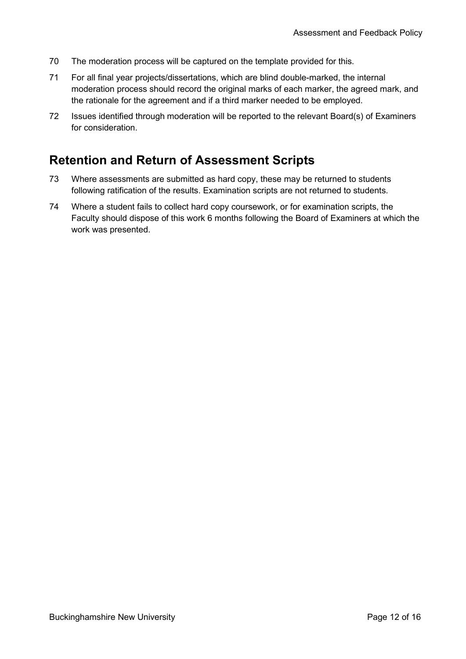- 70 The moderation process will be captured on the template provided for this.
- 71 For all final year projects/dissertations, which are blind double-marked, the internal moderation process should record the original marks of each marker, the agreed mark, and the rationale for the agreement and if a third marker needed to be employed.
- 72 Issues identified through moderation will be reported to the relevant Board(s) of Examiners for consideration.

# <span id="page-11-0"></span>**Retention and Return of Assessment Scripts**

- 73 Where assessments are submitted as hard copy, these may be returned to students following ratification of the results. Examination scripts are not returned to students.
- 74 Where a student fails to collect hard copy coursework, or for examination scripts, the Faculty should dispose of this work 6 months following the Board of Examiners at which the work was presented.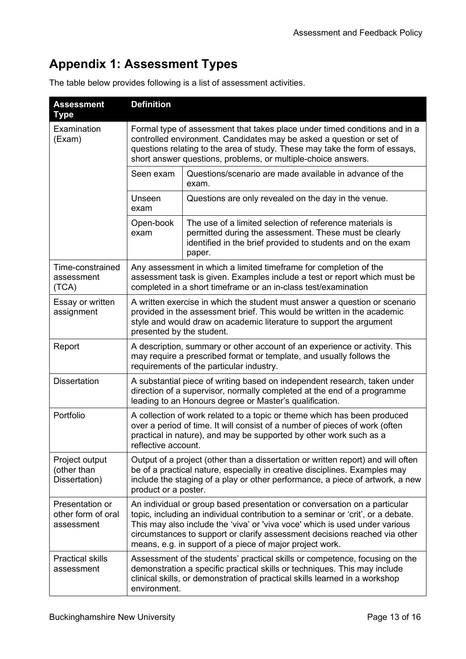# <span id="page-12-0"></span>**Appendix 1: Assessment Types**

| The table below provides following is a list of assessment activities. |  |  |  |
|------------------------------------------------------------------------|--|--|--|
|                                                                        |  |  |  |

| <b>Assessment</b><br>Type                           | <b>Definition</b>                                                                                                                                                                                                                                                                                                                                                                      |                                                                                                                                                                                              |  |
|-----------------------------------------------------|----------------------------------------------------------------------------------------------------------------------------------------------------------------------------------------------------------------------------------------------------------------------------------------------------------------------------------------------------------------------------------------|----------------------------------------------------------------------------------------------------------------------------------------------------------------------------------------------|--|
| Examination<br>(Exam)                               | Formal type of assessment that takes place under timed conditions and in a<br>controlled environment. Candidates may be asked a question or set of<br>questions relating to the area of study. These may take the form of essays,<br>short answer questions, problems, or multiple-choice answers.                                                                                     |                                                                                                                                                                                              |  |
|                                                     | Seen exam                                                                                                                                                                                                                                                                                                                                                                              | Questions/scenario are made available in advance of the<br>exam.                                                                                                                             |  |
|                                                     | Unseen<br>exam                                                                                                                                                                                                                                                                                                                                                                         | Questions are only revealed on the day in the venue.                                                                                                                                         |  |
|                                                     | Open-book<br>exam                                                                                                                                                                                                                                                                                                                                                                      | The use of a limited selection of reference materials is<br>permitted during the assessment. These must be clearly<br>identified in the brief provided to students and on the exam<br>paper. |  |
| Time-constrained<br>assessment<br>(TCA)             | Any assessment in which a limited timeframe for completion of the<br>assessment task is given. Examples include a test or report which must be<br>completed in a short timeframe or an in-class test/examination                                                                                                                                                                       |                                                                                                                                                                                              |  |
| Essay or written<br>assignment                      | A written exercise in which the student must answer a question or scenario<br>provided in the assessment brief. This would be written in the academic<br>style and would draw on academic literature to support the argument<br>presented by the student.                                                                                                                              |                                                                                                                                                                                              |  |
| Report                                              | A description, summary or other account of an experience or activity. This<br>may require a prescribed format or template, and usually follows the<br>requirements of the particular industry.                                                                                                                                                                                         |                                                                                                                                                                                              |  |
| <b>Dissertation</b>                                 | A substantial piece of writing based on independent research, taken under<br>direction of a supervisor, normally completed at the end of a programme<br>leading to an Honours degree or Master's qualification.                                                                                                                                                                        |                                                                                                                                                                                              |  |
| Portfolio                                           | A collection of work related to a topic or theme which has been produced<br>over a period of time. It will consist of a number of pieces of work (often<br>practical in nature), and may be supported by other work such as a<br>reflective account.                                                                                                                                   |                                                                                                                                                                                              |  |
| Project output<br>(other than<br>Dissertation)      | Output of a project (other than a dissertation or written report) and will often<br>be of a practical nature, especially in creative disciplines. Examples may<br>include the staging of a play or other performance, a piece of artwork, a new<br>product or a poster.                                                                                                                |                                                                                                                                                                                              |  |
| Presentation or<br>other form of oral<br>assessment | An individual or group based presentation or conversation on a particular<br>topic, including an individual contribution to a seminar or 'crit', or a debate.<br>This may also include the 'viva' or 'viva voce' which is used under various<br>circumstances to support or clarify assessment decisions reached via other<br>means, e.g. in support of a piece of major project work. |                                                                                                                                                                                              |  |
| <b>Practical skills</b><br>assessment               | Assessment of the students' practical skills or competence, focusing on the<br>demonstration a specific practical skills or techniques. This may include<br>clinical skills, or demonstration of practical skills learned in a workshop<br>environment.                                                                                                                                |                                                                                                                                                                                              |  |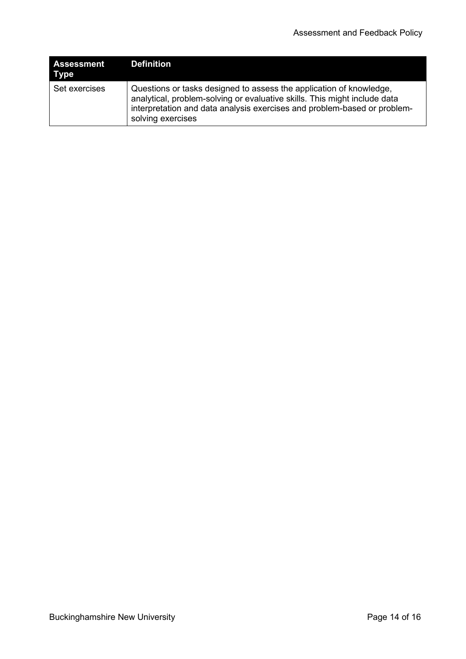| Assessment<br>Type | Definition                                                                                                                                                                                                                                        |
|--------------------|---------------------------------------------------------------------------------------------------------------------------------------------------------------------------------------------------------------------------------------------------|
| Set exercises      | Questions or tasks designed to assess the application of knowledge,<br>analytical, problem-solving or evaluative skills. This might include data<br>interpretation and data analysis exercises and problem-based or problem-<br>solving exercises |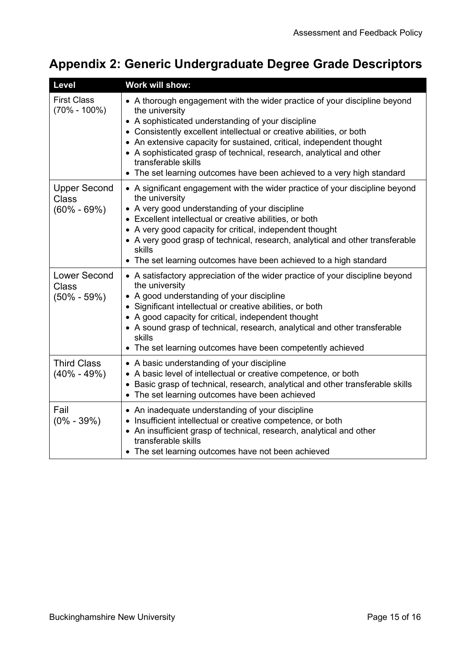# <span id="page-14-0"></span>**Appendix 2: Generic Undergraduate Degree Grade Descriptors**

| <b>Level</b>                                           | Work will show:                                                                                                                                                                                                                                                                                                                                                                                                                                                            |
|--------------------------------------------------------|----------------------------------------------------------------------------------------------------------------------------------------------------------------------------------------------------------------------------------------------------------------------------------------------------------------------------------------------------------------------------------------------------------------------------------------------------------------------------|
| <b>First Class</b><br>$(70\% - 100\%)$                 | • A thorough engagement with the wider practice of your discipline beyond<br>the university<br>• A sophisticated understanding of your discipline<br>• Consistently excellent intellectual or creative abilities, or both<br>• An extensive capacity for sustained, critical, independent thought<br>• A sophisticated grasp of technical, research, analytical and other<br>transferable skills<br>• The set learning outcomes have been achieved to a very high standard |
| <b>Upper Second</b><br><b>Class</b><br>$(60\% - 69\%)$ | • A significant engagement with the wider practice of your discipline beyond<br>the university<br>• A very good understanding of your discipline<br>• Excellent intellectual or creative abilities, or both<br>• A very good capacity for critical, independent thought<br>• A very good grasp of technical, research, analytical and other transferable<br>skills<br>• The set learning outcomes have been achieved to a high standard                                    |
| <b>Lower Second</b><br><b>Class</b><br>$(50\% - 59\%)$ | • A satisfactory appreciation of the wider practice of your discipline beyond<br>the university<br>• A good understanding of your discipline<br>• Significant intellectual or creative abilities, or both<br>• A good capacity for critical, independent thought<br>• A sound grasp of technical, research, analytical and other transferable<br>skills<br>• The set learning outcomes have been competently achieved                                                      |
| <b>Third Class</b><br>$(40\% - 49\%)$                  | • A basic understanding of your discipline<br>• A basic level of intellectual or creative competence, or both<br>• Basic grasp of technical, research, analytical and other transferable skills<br>• The set learning outcomes have been achieved                                                                                                                                                                                                                          |
| Fail<br>$(0\% - 39\%)$                                 | • An inadequate understanding of your discipline<br>• Insufficient intellectual or creative competence, or both<br>• An insufficient grasp of technical, research, analytical and other<br>transferable skills<br>• The set learning outcomes have not been achieved                                                                                                                                                                                                       |